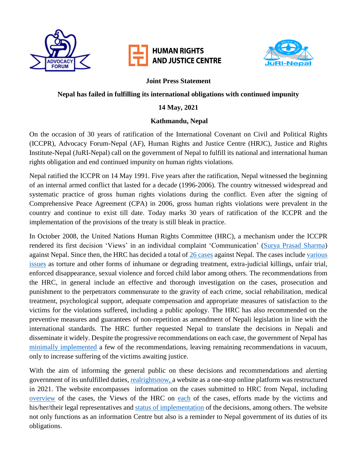

# **HUMAN RIGHTS AND JUSTICE CENTRE**



### **Joint Press Statement**

## **Nepal has failed in fulfilling its international obligations with continued impunity**

## **14 May, 2021**

## **Kathmandu, Nepal**

On the occasion of 30 years of ratification of the International Covenant on Civil and Political Rights (ICCPR), Advocacy Forum-Nepal (AF), Human Rights and Justice Centre (HRJC), Justice and Rights Institute-Nepal (JuRI-Nepal) call on the government of Nepal to fulfill its national and international human rights obligation and end continued impunity on human rights violations.

Nepal ratified the ICCPR on 14 May 1991. Five years after the ratification, Nepal witnessed the beginning of an internal armed conflict that lasted for a decade (1996-2006). The country witnessed widespread and systematic practice of gross human rights violations during the conflict. Even after the signing of Comprehensive Peace Agreement (CPA) in 2006, gross human rights violations were prevalent in the country and continue to exist till date. Today marks 30 years of ratification of the ICCPR and the implementation of the provisions of the treaty is still bleak in practice.

In October 2008, the United Nations Human Rights Committee (HRC), a mechanism under the ICCPR rendered its first decision 'Views' in an individual complaint 'Communication' [\(Surya Prasad Sharma\)](https://realrightsnow.org/en/surya-prasad-sharma/) against Nepal. Since then, the HRC has decided a total of [26 cases](https://realrightsnow.org/en/category/cases/) against Nepal. The cases include [various](https://realrightsnow.org/en/cases/)  [issues](https://realrightsnow.org/en/cases/) as torture and other forms of inhumane or degrading treatment, extra-judicial killings, unfair trial, enforced disappearance, sexual violence and forced child labor among others. The recommendations from the HRC, in general include an effective and thorough investigation on the cases, prosecution and punishment to the perpetrators commensurate to the gravity of each crime, social rehabilitation, medical treatment, psychological support, adequate compensation and appropriate measures of satisfaction to the victims for the violations suffered, including a public apology. The HRC has also recommended on the preventive measures and guarantees of non-repetition as amendment of Nepali legislation in line with the international standards. The HRC further requested Nepal to translate the decisions in Nepali and disseminate it widely. Despite the progressive recommendations on each case, the government of Nepal has [minimally implemented](https://realrightsnow.org/wp-content/uploads/2021/02/implementation-fact-sheet-2021.pdf) a few of the recommendations, leaving remaining recommendations in vacuum, only to increase suffering of the victims awaiting justice.

With the aim of informing the general public on these decisions and recommendations and alerting government of its unfulfilled duties, [realrightsnow,](https://realrightsnow.org/en) a website as a one-stop online platform was restructured in 2021. The website encompasses information on the cases submitted to HRC from Nepal, including [overview](https://realrightsnow.org/en/cases) of the cases, the Views of the HRC on [each](https://realrightsnow.org/en/category/cases/) of the cases, efforts made by the victims and his/her/their legal representatives and [status of implementation](https://realrightsnow.org/en/cases/implementation-status/) of the decisions, among others. The website not only functions as an information Centre but also is a reminder to Nepal government of its duties of its obligations.